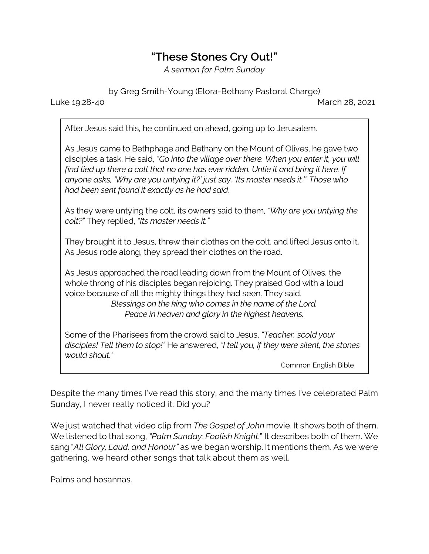## **"These Stones Cry Out!"**

*A sermon for Palm Sunday*

by Greg Smith-Young (Elora-Bethany Pastoral Charge)

Luke 19.28-40 March 28, 2021

After Jesus said this, he continued on ahead, going up to Jerusalem.

As Jesus came to Bethphage and Bethany on the Mount of Olives, he gave two disciples a task. He said, *"Go into the village over there. When you enter it, you will find tied up there a colt that no one has ever ridden. Untie it and bring it here. If anyone asks, 'Why are you untying it?' just say, 'Its master needs it.'" Those who had been sent found it exactly as he had said.*

As they were untying the colt, its owners said to them, *"Why are you untying the colt?"* They replied, *"Its master needs it."*

They brought it to Jesus, threw their clothes on the colt, and lifted Jesus onto it. As Jesus rode along, they spread their clothes on the road.

As Jesus approached the road leading down from the Mount of Olives, the whole throng of his disciples began rejoicing. They praised God with a loud voice because of all the mighty things they had seen. They said, *Blessings on the king who comes in the name of the Lord. Peace in heaven and glory in the highest heavens.*

Some of the Pharisees from the crowd said to Jesus, *"Teacher, scold your disciples! Tell them to stop!"* He answered, *"I tell you, if they were silent, the stones would shout."*

Common English Bible

Despite the many times I've read this story, and the many times I've celebrated Palm Sunday, I never really noticed it. Did you?

We just watched that video clip from *The Gospel of John* movie. It shows both of them. We listened to that song, *"Palm Sunday: Foolish Knight*." It describes both of them. We sang "*All Glory, Laud, and Honour"* as we began worship. It mentions them. As we were gathering, we heard other songs that talk about them as well.

Palms and hosannas.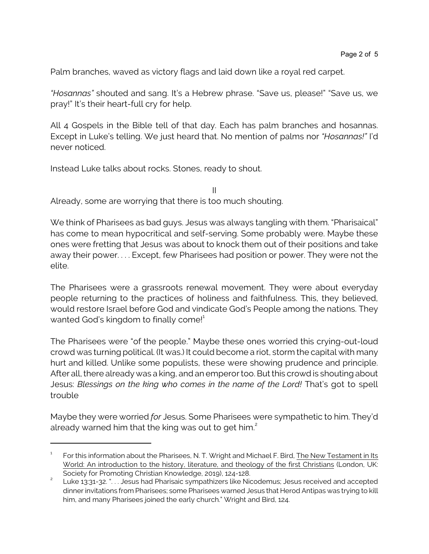Palm branches, waved as victory flags and laid down like a royal red carpet.

*"Hosannas"* shouted and sang. It's a Hebrew phrase. "Save us, please!" "Save us, we pray!" It's their heart-full cry for help.

All 4 Gospels in the Bible tell of that day. Each has palm branches and hosannas. Except in Luke's telling. We just heard that. No mention of palms nor *"Hosannas!"* I'd never noticed.

II

Instead Luke talks about rocks. Stones, ready to shout.

Already, some are worrying that there is too much shouting.

We think of Pharisees as bad guys. Jesus was always tangling with them. "Pharisaical" has come to mean hypocritical and self-serving. Some probably were. Maybe these ones were fretting that Jesus was about to knock them out of their positions and take away their power. . . . Except, few Pharisees had position or power. They were not the elite.

The Pharisees were a grassroots renewal movement. They were about everyday people returning to the practices of holiness and faithfulness. This, they believed, would restore Israel before God and vindicate God's People among the nations. They wanted God's kingdom to finally come! $1$ 

The Pharisees were "of the people." Maybe these ones worried this crying-out-loud crowd was turning political. (It was.) It could become a riot, storm the capital with many hurt and killed. Unlike some populists, these were showing prudence and principle. After all, there already was a king, and an emperor too. But this crowd is shouting about Jesus: *Blessings on the king who comes in the name of the Lord!* That's got to spell trouble

Maybe they were worried *for* Jesus. Some Pharisees were sympathetic to him. They'd already warned him that the king was out to get him. $2$ 

<sup>1</sup> For this information about the Pharisees, N. T. Wright and Michael F. Bird, The New Testament in Its World: An introduction to the history, literature, and theology of the first Christians (London, UK: Society for Promoting Christian Knowledge, 2019), 124-128.

<sup>2</sup> Luke 13:31-32. ". . . Jesus had Pharisaic sympathizers like Nicodemus; Jesus received and accepted dinner invitations from Pharisees; some Pharisees warned Jesus that Herod Antipas was trying to kill him, and many Pharisees joined the early church." Wright and Bird, 124.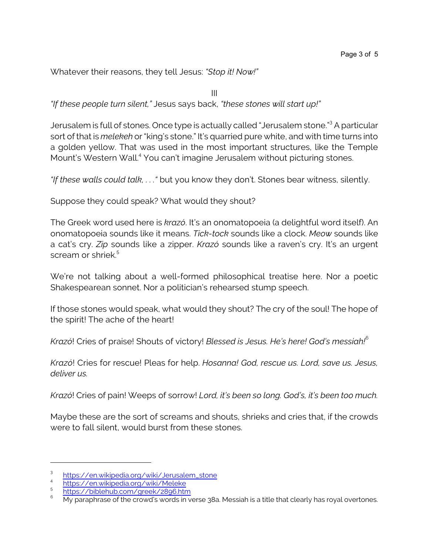Whatever their reasons, they tell Jesus: *"Stop it! Now!"*

III

*"If these people turn silent,"* Jesus says back, *"these stones will start up!"*

Jerusalem is full of stones. Once type is actually called "Jerusalem stone."<sup>3</sup> A particular sort of that is *melekeh* or "king's stone." It's quarried pure white, and with time turns into a golden yellow. That was used in the most important structures, like the Temple Mount's Western Wall.<sup>4</sup> You can't imagine Jerusalem without picturing stones.

*"If these walls could talk, . . ."* but you know they don't. Stones bear witness, silently.

Suppose they could speak? What would they shout?

The Greek word used here is *krazó*. It's an onomatopoeia (a delightful word itself). An onomatopoeia sounds like it means. *Tick-tock* sounds like a clock. *Meow* sounds like a cat's cry. *Zip* sounds like a zipper. *Krazó* sounds like a raven's cry. It's an urgent scream or shriek.<sup>5</sup>

We're not talking about a well-formed philosophical treatise here. Nor a poetic Shakespearean sonnet. Nor a politician's rehearsed stump speech.

If those stones would speak, what would they shout? The cry of the soul! The hope of the spirit! The ache of the heart!

*Krazó*! Cries of praise! Shouts of victory! *Blessed is Jesus. He's here! God's messiah!*<sup>6</sup>

*Krazó*! Cries for rescue! Pleas for help. *Hosanna! God, rescue us. Lord, save us. Jesus, deliver us.*

*Krazó*! Cries of pain! Weeps of sorrow! *Lord, it's been so long. God's, it's been too much.* 

Maybe these are the sort of screams and shouts, shrieks and cries that, if the crowds were to fall silent, would burst from these stones.

<sup>3</sup> [https://en.wikipedia.org/wiki/Jerusalem\\_stone](https://en.wikipedia.org/wiki/Jerusalem_stone)

<sup>4</sup> <https://en.wikipedia.org/wiki/Meleke>

<sup>5</sup>

<https://biblehub.com/greek/2896.htm><br>My paraphrase of the crowd's words in verse 38a. Messiah is a title that clearly has royal overtones.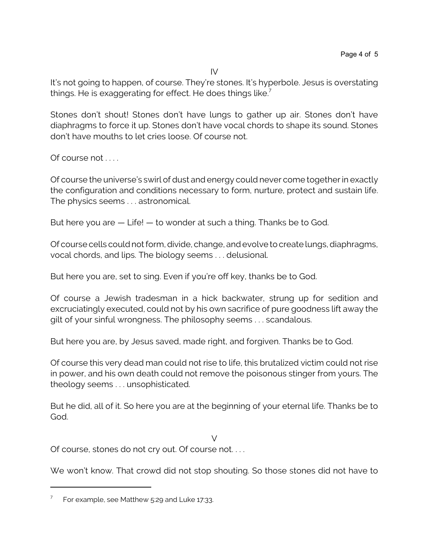IV

It's not going to happen, of course. They're stones. It's hyperbole. Jesus is overstating things. He is exaggerating for effect. He does things like.<sup>7</sup>

Stones don't shout! Stones don't have lungs to gather up air. Stones don't have diaphragms to force it up. Stones don't have vocal chords to shape its sound. Stones don't have mouths to let cries loose. Of course not.

Of course not . . . .

Of course the universe's swirl of dust and energy could never come together in exactly the configuration and conditions necessary to form, nurture, protect and sustain life. The physics seems . . . astronomical.

But here you are — Life! — to wonder at such a thing. Thanks be to God.

Of course cells could not form, divide, change, and evolve to create lungs, diaphragms, vocal chords, and lips. The biology seems . . . delusional.

But here you are, set to sing. Even if you're off key, thanks be to God.

Of course a Jewish tradesman in a hick backwater, strung up for sedition and excruciatingly executed, could not by his own sacrifice of pure goodness lift away the gilt of your sinful wrongness. The philosophy seems . . . scandalous.

But here you are, by Jesus saved, made right, and forgiven. Thanks be to God.

Of course this very dead man could not rise to life, this brutalized victim could not rise in power, and his own death could not remove the poisonous stinger from yours. The theology seems . . . unsophisticated.

But he did, all of it. So here you are at the beginning of your eternal life. Thanks be to God.

 $\sqrt{}$ 

Of course, stones do not cry out. Of course not. . . .

We won't know. That crowd did not stop shouting. So those stones did not have to

<sup>7</sup> For example, see Matthew 5:29 and Luke 17:33.